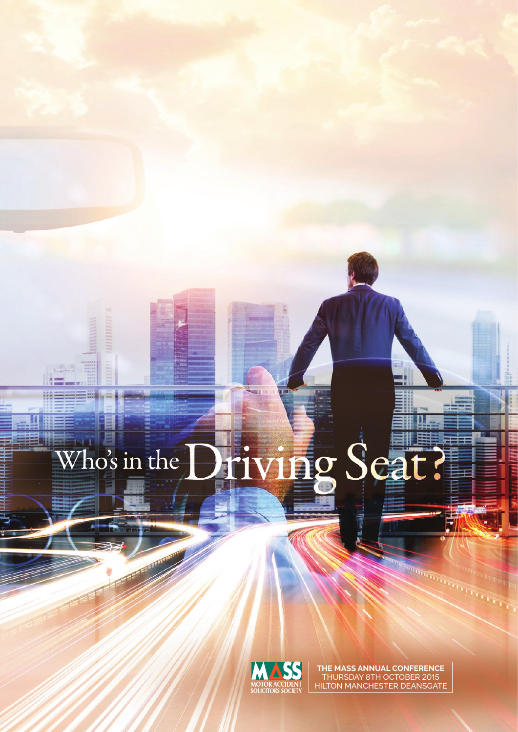# **ng Scat** Who's in the



**the mass ANNUAL CONFERENCE** thursday 8th october 2015 Hilton Manchester Deansgate

**CONTRACTOR**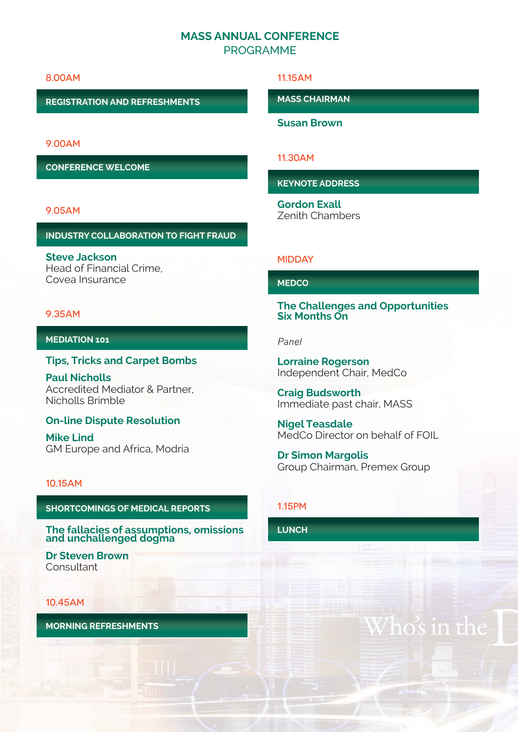# **MASS ANNUAL CONFERENCE** PROGRAMME

#### 8.00am

**Registration and Refreshments**

9.00am

**Conference Welcome**

#### 9.05am

#### **Industry Collaboration to fight fraud**

**Steve Jackson**  Head of Financial Crime, Covea Insurance

#### 9.35am

#### **Mediation 101**

#### **Tips, Tricks and Carpet Bombs**

**Paul Nicholls**  Accredited Mediator & Partner, Nicholls Brimble

#### **On-line Dispute Resolution**

**Mike Lind**  GM Europe and Africa, Modria

#### 10.15am

#### **Shortcomings of Medical Reports**

**The fallacies of assumptions, omissions and unchallenged dogma** 

**Dr Steven Brown Consultant** 

#### 10.45am

**Morning Refreshments**

#### 11.15am

**MASS Chairman**

**Susan Brown**

## 11.30am

**Keynote Address**

**Gordon Exall**  Zenith Chambers

#### **MIDDAY**

## **MedCo**

**The Challenges and Opportunities Six Months On**

#### *Panel*

**Lorraine Rogerson** Independent Chair, MedCo

**Craig Budsworth**  Immediate past chair, MASS

**Nigel Teasdale**  MedCo Director on behalf of FOIL

**Dr Simon Margolis**  Group Chairman, Premex Group

#### 1.15pm

**Lunch**

# os in th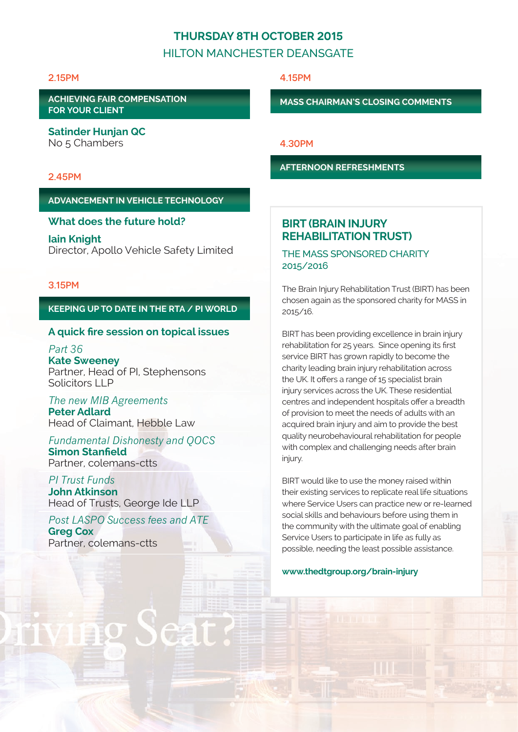# **Thursday 8th October 2015**

# HILTON MANCHESTER DEANSGATE

#### 2.15pm

**Achieving fair Compensation for your client**

**Satinder Hunjan QC**  No 5 Chambers

## 2.45pm

#### **Advancement in Vehicle Technology**

#### **What does the future hold?**

**Iain Knight**  Director, Apollo Vehicle Safety Limited

#### 3.15pm

### **Keeping up to date in the RTA / PI world**

## **A quick fire session on topical issues**

*Part 36* **Kate Sweeney** Partner, Head of PI, Stephensons Solicitors LLP

*The new MIB Agreements* **Peter Adlard** Head of Claimant, Hebble Law

*Fundamental Dishonesty and QOCS*  **Simon Stanfield** Partner, colemans-ctts

*PI Trust Funds*  **John Atkinson** Head of Trusts, George Ide LLP

*Post LASPO Success fees and ATE*  **Greg Cox** Partner, colemans-ctts

4.15pm

**MASS Chairman's Closing Comments**

4.30pm

**Afternoon Refreshments**

# **BIRT (BRAIN INJURY REHABILITATION TRUST)**

THE MASS SPONSORED CHARITY 2015/2016

The Brain Injury Rehabilitation Trust (BIRT) has been chosen again as the sponsored charity for MASS in 2015/16.

BIRT has been providing excellence in brain injury rehabilitation for 25 years. Since opening its first service BIRT has grown rapidly to become the charity leading brain injury rehabilitation across the UK. It offers a range of 15 specialist brain injury services across the UK. These residential centres and independent hospitals offer a breadth of provision to meet the needs of adults with an acquired brain injury and aim to provide the best quality neurobehavioural rehabilitation for people with complex and challenging needs after brain injury.

BIRT would like to use the money raised within their existing services to replicate real life situations where Service Users can practice new or re-learned social skills and behaviours before using them in the community with the ultimate goal of enabling Service Users to participate in life as fully as possible, needing the least possible assistance.

#### **www.thedtgroup.org/brain-injury**